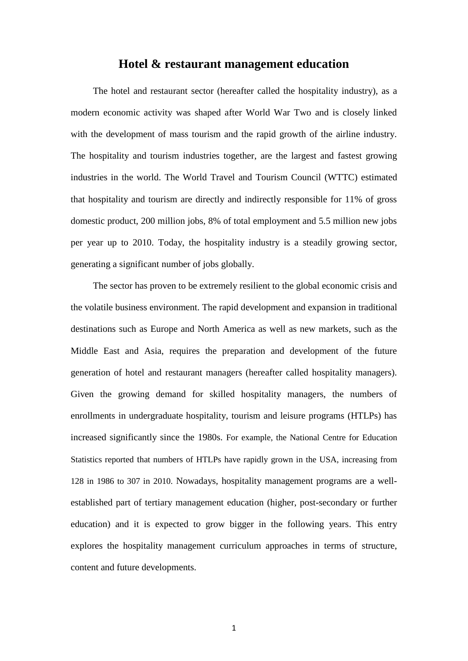## **Hotel & restaurant management education**

The hotel and restaurant sector (hereafter called the hospitality industry), as a modern economic activity was shaped after World War Two and is closely linked with the development of mass tourism and the rapid growth of the airline industry. The hospitality and tourism industries together, are the largest and fastest growing industries in the world. The World Travel and Tourism Council (WTTC) estimated that hospitality and tourism are directly and indirectly responsible for 11% of gross domestic product, 200 million jobs, 8% of total employment and 5.5 million new jobs per year up to 2010. Today, the hospitality industry is a steadily growing sector, generating a significant number of jobs globally.

The sector has proven to be extremely resilient to the global economic crisis and the volatile business environment. The rapid development and expansion in traditional destinations such as Europe and North America as well as new markets, such as the Middle East and Asia, requires the preparation and development of the future generation of hotel and restaurant managers (hereafter called hospitality managers). Given the growing demand for skilled hospitality managers, the numbers of enrollments in undergraduate hospitality, tourism and leisure programs (HTLPs) has increased significantly since the 1980s. For example, the National Centre for Education Statistics reported that numbers of HTLPs have rapidly grown in the USA, increasing from 128 in 1986 to 307 in 2010. Nowadays, hospitality management programs are a wellestablished part of tertiary management education (higher, post-secondary or further education) and it is expected to grow bigger in the following years. This entry explores the hospitality management curriculum approaches in terms of structure, content and future developments.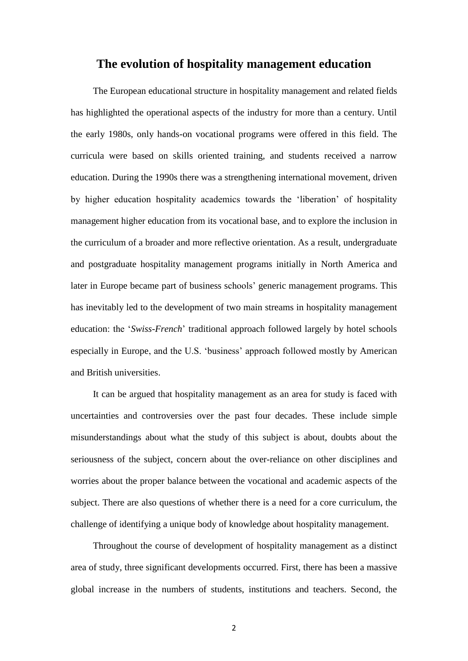# **The evolution of hospitality management education**

The European educational structure in hospitality management and related fields has highlighted the operational aspects of the industry for more than a century. Until the early 1980s, only hands-on vocational programs were offered in this field. The curricula were based on skills oriented training, and students received a narrow education. During the 1990s there was a strengthening international movement, driven by higher education hospitality academics towards the 'liberation' of hospitality management higher education from its vocational base, and to explore the inclusion in the curriculum of a broader and more reflective orientation. As a result, undergraduate and postgraduate hospitality management programs initially in North America and later in Europe became part of business schools' generic management programs. This has inevitably led to the development of two main streams in hospitality management education: the '*Swiss-French*' traditional approach followed largely by hotel schools especially in Europe, and the U.S. 'business' approach followed mostly by American and British universities.

It can be argued that hospitality management as an area for study is faced with uncertainties and controversies over the past four decades. These include simple misunderstandings about what the study of this subject is about, doubts about the seriousness of the subject, concern about the over-reliance on other disciplines and worries about the proper balance between the vocational and academic aspects of the subject. There are also questions of whether there is a need for a core curriculum, the challenge of identifying a unique body of knowledge about hospitality management.

Throughout the course of development of hospitality management as a distinct area of study, three significant developments occurred. First, there has been a massive global increase in the numbers of students, institutions and teachers. Second, the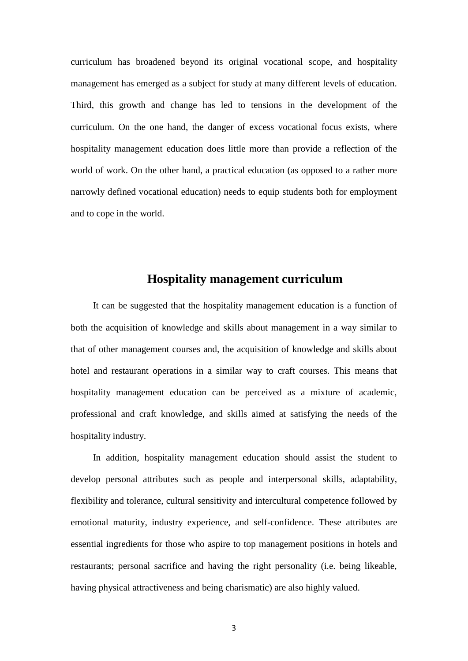curriculum has broadened beyond its original vocational scope, and hospitality management has emerged as a subject for study at many different levels of education. Third, this growth and change has led to tensions in the development of the curriculum. On the one hand, the danger of excess vocational focus exists, where hospitality management education does little more than provide a reflection of the world of work. On the other hand, a practical education (as opposed to a rather more narrowly defined vocational education) needs to equip students both for employment and to cope in the world.

# **Hospitality management curriculum**

It can be suggested that the hospitality management education is a function of both the acquisition of knowledge and skills about management in a way similar to that of other management courses and, the acquisition of knowledge and skills about hotel and restaurant operations in a similar way to craft courses. This means that hospitality management education can be perceived as a mixture of academic, professional and craft knowledge, and skills aimed at satisfying the needs of the hospitality industry.

In addition, hospitality management education should assist the student to develop personal attributes such as people and interpersonal skills, adaptability, flexibility and tolerance, cultural sensitivity and intercultural competence followed by emotional maturity, industry experience, and self-confidence. These attributes are essential ingredients for those who aspire to top management positions in hotels and restaurants; personal sacrifice and having the right personality (i.e. being likeable, having physical attractiveness and being charismatic) are also highly valued.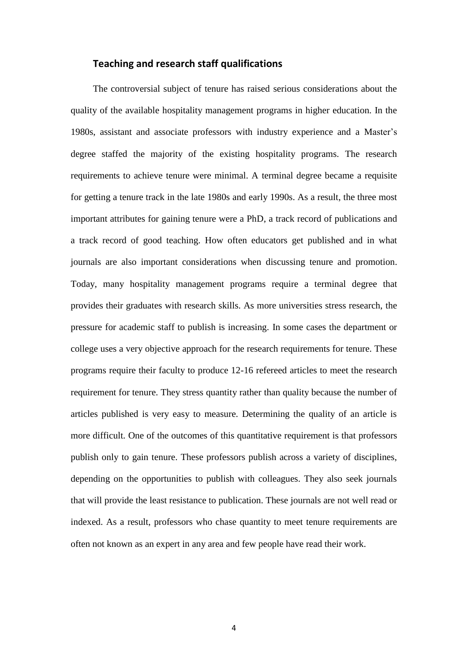## **Teaching and research staff qualifications**

The controversial subject of tenure has raised serious considerations about the quality of the available hospitality management programs in higher education. In the 1980s, assistant and associate professors with industry experience and a Master's degree staffed the majority of the existing hospitality programs. The research requirements to achieve tenure were minimal. A terminal degree became a requisite for getting a tenure track in the late 1980s and early 1990s. As a result, the three most important attributes for gaining tenure were a PhD, a track record of publications and a track record of good teaching. How often educators get published and in what journals are also important considerations when discussing tenure and promotion. Today, many hospitality management programs require a terminal degree that provides their graduates with research skills. As more universities stress research, the pressure for academic staff to publish is increasing. In some cases the department or college uses a very objective approach for the research requirements for tenure. These programs require their faculty to produce 12-16 refereed articles to meet the research requirement for tenure. They stress quantity rather than quality because the number of articles published is very easy to measure. Determining the quality of an article is more difficult. One of the outcomes of this quantitative requirement is that professors publish only to gain tenure. These professors publish across a variety of disciplines, depending on the opportunities to publish with colleagues. They also seek journals that will provide the least resistance to publication. These journals are not well read or indexed. As a result, professors who chase quantity to meet tenure requirements are often not known as an expert in any area and few people have read their work.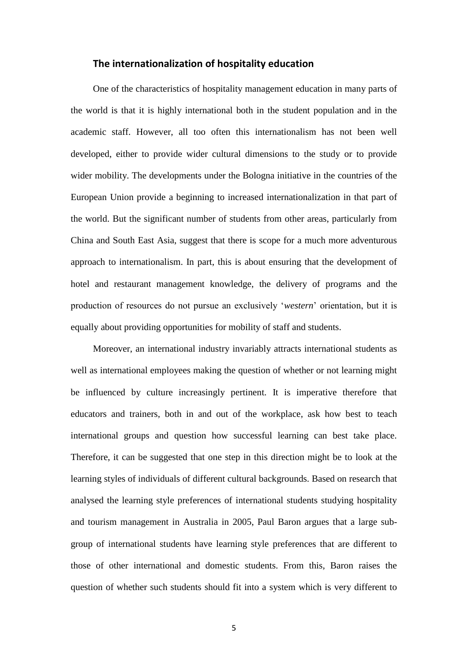#### **The internationalization of hospitality education**

One of the characteristics of hospitality management education in many parts of the world is that it is highly international both in the student population and in the academic staff. However, all too often this internationalism has not been well developed, either to provide wider cultural dimensions to the study or to provide wider mobility. The developments under the Bologna initiative in the countries of the European Union provide a beginning to increased internationalization in that part of the world. But the significant number of students from other areas, particularly from China and South East Asia, suggest that there is scope for a much more adventurous approach to internationalism. In part, this is about ensuring that the development of hotel and restaurant management knowledge, the delivery of programs and the production of resources do not pursue an exclusively '*western*' orientation, but it is equally about providing opportunities for mobility of staff and students.

Moreover, an international industry invariably attracts international students as well as international employees making the question of whether or not learning might be influenced by culture increasingly pertinent. It is imperative therefore that educators and trainers, both in and out of the workplace, ask how best to teach international groups and question how successful learning can best take place. Therefore, it can be suggested that one step in this direction might be to look at the learning styles of individuals of different cultural backgrounds. Based on research that analysed the learning style preferences of international students studying hospitality and tourism management in Australia in 2005, Paul Baron argues that a large subgroup of international students have learning style preferences that are different to those of other international and domestic students. From this, Baron raises the question of whether such students should fit into a system which is very different to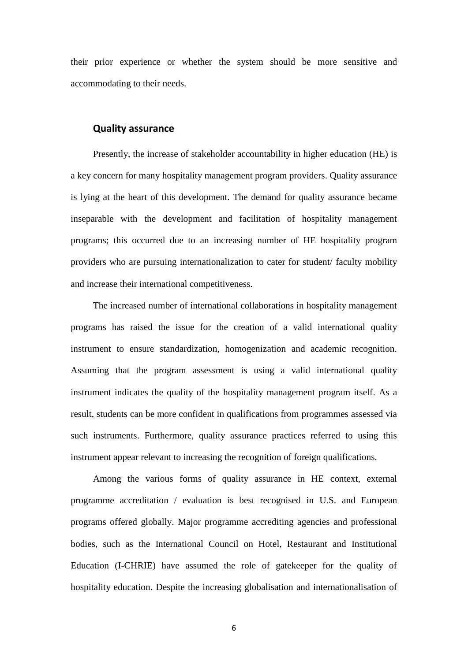their prior experience or whether the system should be more sensitive and accommodating to their needs.

#### **Quality assurance**

Presently, the increase of stakeholder accountability in higher education (HE) is a key concern for many hospitality management program providers. Quality assurance is lying at the heart of this development. The demand for quality assurance became inseparable with the development and facilitation of hospitality management programs; this occurred due to an increasing number of HE hospitality program providers who are pursuing internationalization to cater for student/ faculty mobility and increase their international competitiveness.

The increased number of international collaborations in hospitality management programs has raised the issue for the creation of a valid international quality instrument to ensure standardization, homogenization and academic recognition. Assuming that the program assessment is using a valid international quality instrument indicates the quality of the hospitality management program itself. As a result, students can be more confident in qualifications from programmes assessed via such instruments. Furthermore, quality assurance practices referred to using this instrument appear relevant to increasing the recognition of foreign qualifications.

Among the various forms of quality assurance in HE context, external programme accreditation / evaluation is best recognised in U.S. and European programs offered globally. Major programme accrediting agencies and professional bodies, such as the International Council on Hotel, Restaurant and Institutional Education (I-CHRIE) have assumed the role of gatekeeper for the quality of hospitality education. Despite the increasing globalisation and internationalisation of

6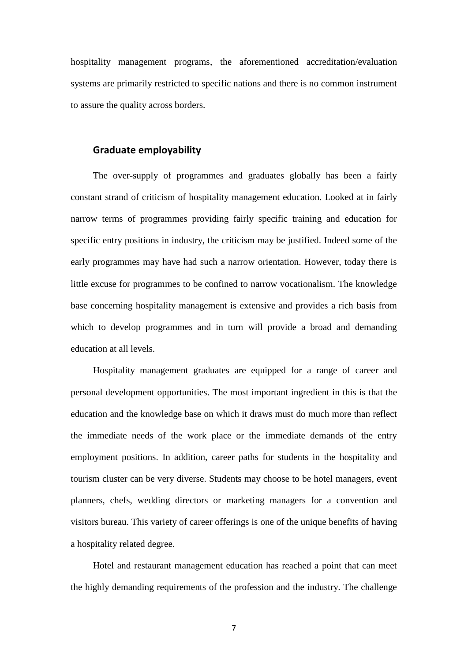hospitality management programs, the aforementioned accreditation/evaluation systems are primarily restricted to specific nations and there is no common instrument to assure the quality across borders.

# **Graduate employability**

The over-supply of programmes and graduates globally has been a fairly constant strand of criticism of hospitality management education. Looked at in fairly narrow terms of programmes providing fairly specific training and education for specific entry positions in industry, the criticism may be justified. Indeed some of the early programmes may have had such a narrow orientation. However, today there is little excuse for programmes to be confined to narrow vocationalism. The knowledge base concerning hospitality management is extensive and provides a rich basis from which to develop programmes and in turn will provide a broad and demanding education at all levels.

Hospitality management graduates are equipped for a range of career and personal development opportunities. The most important ingredient in this is that the education and the knowledge base on which it draws must do much more than reflect the immediate needs of the work place or the immediate demands of the entry employment positions. In addition, career paths for students in the hospitality and tourism cluster can be very diverse. Students may choose to be hotel managers, event planners, chefs, wedding directors or marketing managers for a convention and visitors bureau. This variety of career offerings is one of the unique benefits of having a hospitality related degree.

Hotel and restaurant management education has reached a point that can meet the highly demanding requirements of the profession and the industry. The challenge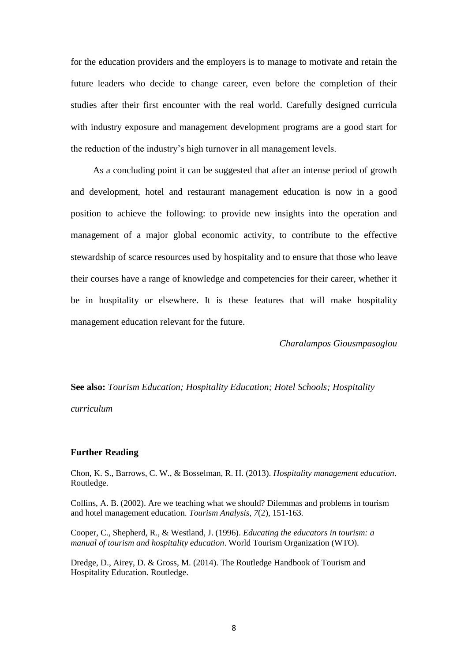for the education providers and the employers is to manage to motivate and retain the future leaders who decide to change career, even before the completion of their studies after their first encounter with the real world. Carefully designed curricula with industry exposure and management development programs are a good start for the reduction of the industry's high turnover in all management levels.

As a concluding point it can be suggested that after an intense period of growth and development, hotel and restaurant management education is now in a good position to achieve the following: to provide new insights into the operation and management of a major global economic activity, to contribute to the effective stewardship of scarce resources used by hospitality and to ensure that those who leave their courses have a range of knowledge and competencies for their career, whether it be in hospitality or elsewhere. It is these features that will make hospitality management education relevant for the future.

*Charalampos Giousmpasoglou*

**See also:** *Tourism Education; Hospitality Education; Hotel Schools; Hospitality curriculum* 

#### **Further Reading**

Chon, K. S., Barrows, C. W., & Bosselman, R. H. (2013). *Hospitality management education*. Routledge.

Collins, A. B. (2002). Are we teaching what we should? Dilemmas and problems in tourism and hotel management education. *Tourism Analysis*, *7*(2), 151-163.

Cooper, C., Shepherd, R., & Westland, J. (1996). *Educating the educators in tourism: a manual of tourism and hospitality education*. World Tourism Organization (WTO).

Dredge, D., Airey, D. & Gross, M. (2014). The Routledge Handbook of Tourism and Hospitality Education. Routledge.